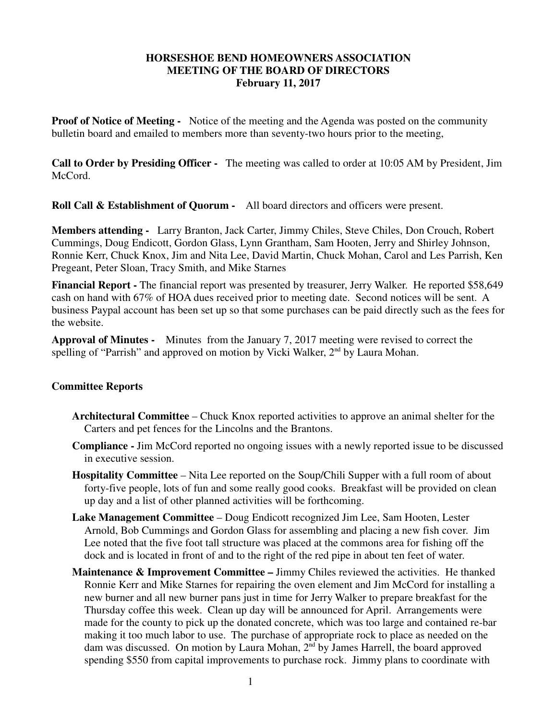## **HORSESHOE BEND HOMEOWNERS ASSOCIATION MEETING OF THE BOARD OF DIRECTORS February 11, 2017**

**Proof of Notice of Meeting -** Notice of the meeting and the Agenda was posted on the community bulletin board and emailed to members more than seventy-two hours prior to the meeting,

**Call to Order by Presiding Officer -** The meeting was called to order at 10:05 AM by President, Jim McCord.

**Roll Call & Establishment of Quorum -** All board directors and officers were present.

**Members attending -** Larry Branton, Jack Carter, Jimmy Chiles, Steve Chiles, Don Crouch, Robert Cummings, Doug Endicott, Gordon Glass, Lynn Grantham, Sam Hooten, Jerry and Shirley Johnson, Ronnie Kerr, Chuck Knox, Jim and Nita Lee, David Martin, Chuck Mohan, Carol and Les Parrish, Ken Pregeant, Peter Sloan, Tracy Smith, and Mike Starnes

**Financial Report -** The financial report was presented by treasurer, Jerry Walker. He reported \$58,649 cash on hand with 67% of HOA dues received prior to meeting date. Second notices will be sent. A business Paypal account has been set up so that some purchases can be paid directly such as the fees for the website.

**Approval of Minutes -** Minutes from the January 7, 2017 meeting were revised to correct the spelling of "Parrish" and approved on motion by Vicki Walker, 2<sup>nd</sup> by Laura Mohan.

## **Committee Reports**

- **Architectural Committee**  Chuck Knox reported activities to approve an animal shelter for the Carters and pet fences for the Lincolns and the Brantons.
- **Compliance** Jim McCord reported no ongoing issues with a newly reported issue to be discussed in executive session.
- **Hospitality Committee** Nita Lee reported on the Soup/Chili Supper with a full room of about forty-five people, lots of fun and some really good cooks. Breakfast will be provided on clean up day and a list of other planned activities will be forthcoming.
- **Lake Management Committee** Doug Endicott recognized Jim Lee, Sam Hooten, Lester Arnold, Bob Cummings and Gordon Glass for assembling and placing a new fish cover. Jim Lee noted that the five foot tall structure was placed at the commons area for fishing off the dock and is located in front of and to the right of the red pipe in about ten feet of water.
- **Maintenance & Improvement Committee** Jimmy Chiles reviewed the activities. He thanked Ronnie Kerr and Mike Starnes for repairing the oven element and Jim McCord for installing a new burner and all new burner pans just in time for Jerry Walker to prepare breakfast for the Thursday coffee this week. Clean up day will be announced for April. Arrangements were made for the county to pick up the donated concrete, which was too large and contained re-bar making it too much labor to use. The purchase of appropriate rock to place as needed on the dam was discussed. On motion by Laura Mohan, 2nd by James Harrell, the board approved spending \$550 from capital improvements to purchase rock. Jimmy plans to coordinate with